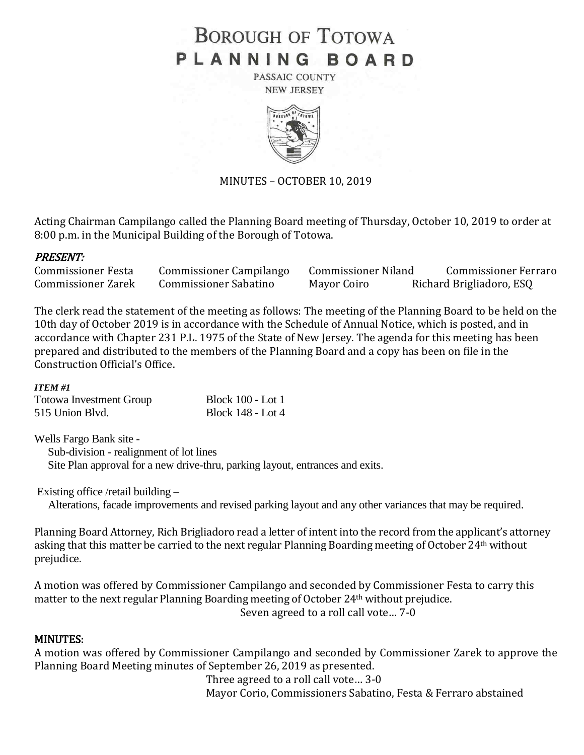# **BOROUGH OF TOTOWA** PLANNING BOARD

PASSAIC COUNTY **NEW JERSEY** 



MINUTES – OCTOBER 10, 2019

Acting Chairman Campilango called the Planning Board meeting of Thursday, October 10, 2019 to order at 8:00 p.m. in the Municipal Building of the Borough of Totowa.

## PRESENT:

| <b>Commissioner Festa</b> | <b>Commissioner Campilango</b> | <b>Commissioner Niland</b> | <b>Commissioner Ferraro</b> |
|---------------------------|--------------------------------|----------------------------|-----------------------------|
| <b>Commissioner Zarek</b> | <b>Commissioner Sabatino</b>   | Mayor Coiro                | Richard Brigliadoro, ESQ    |

The clerk read the statement of the meeting as follows: The meeting of the Planning Board to be held on the 10th day of October 2019 is in accordance with the Schedule of Annual Notice, which is posted, and in accordance with Chapter 231 P.L. 1975 of the State of New Jersey. The agenda for this meeting has been prepared and distributed to the members of the Planning Board and a copy has been on file in the Construction Official's Office.

#### *ITEM #1*

| <b>Totowa Investment Group</b> | <b>Block 100 - Lot 1</b> |
|--------------------------------|--------------------------|
| 515 Union Blvd.                | <b>Block 148 - Lot 4</b> |

Wells Fargo Bank site - Sub-division - realignment of lot lines Site Plan approval for a new drive-thru, parking layout, entrances and exits.

Existing office /retail building –

Alterations, facade improvements and revised parking layout and any other variances that may be required.

Planning Board Attorney, Rich Brigliadoro read a letter of intent into the record from the applicant's attorney asking that this matter be carried to the next regular Planning Boarding meeting of October 24th without prejudice.

A motion was offered by Commissioner Campilango and seconded by Commissioner Festa to carry this matter to the next regular Planning Boarding meeting of October 24th without prejudice. Seven agreed to a roll call vote… 7-0

#### MINUTES:

A motion was offered by Commissioner Campilango and seconded by Commissioner Zarek to approve the Planning Board Meeting minutes of September 26, 2019 as presented.

Three agreed to a roll call vote… 3-0 Mayor Corio, Commissioners Sabatino, Festa & Ferraro abstained